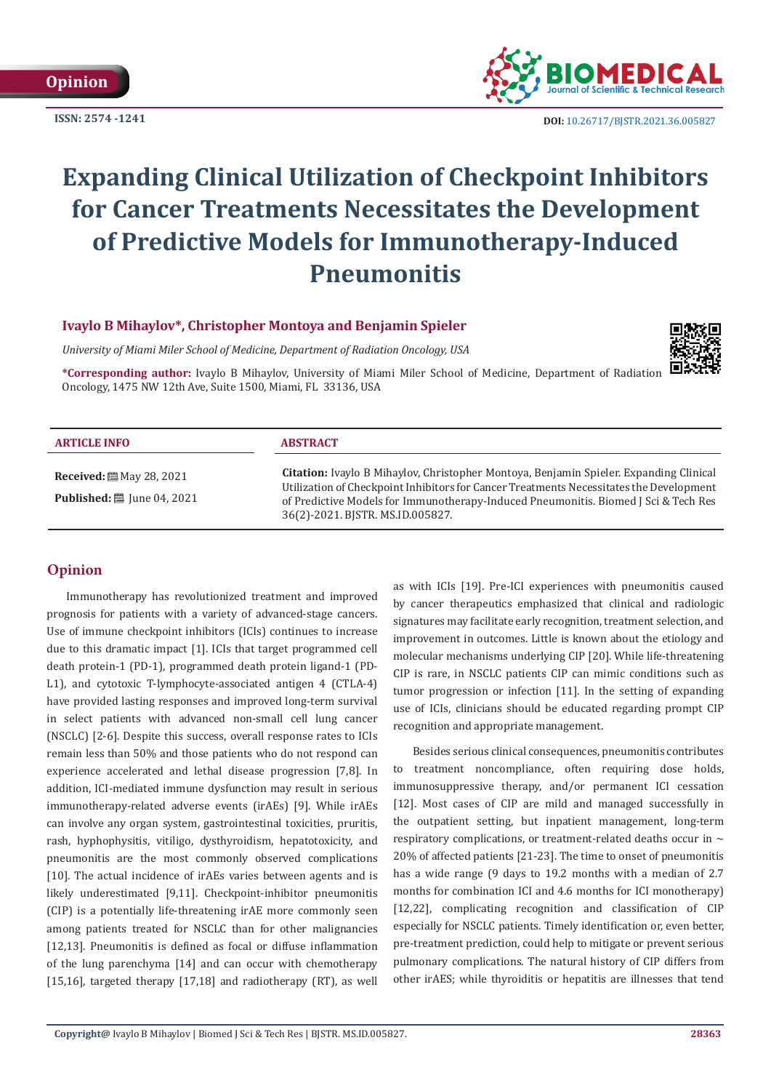**ISSN: 2574 -1241**



 **DOI:** [10.26717/BJSTR.2021.36.005827](https://dx.doi.org/10.26717/BJSTR.2021.36.005827)

# **Expanding Clinical Utilization of Checkpoint Inhibitors for Cancer Treatments Necessitates the Development of Predictive Models for Immunotherapy-Induced Pneumonitis**

# **Ivaylo B Mihaylov\*, Christopher Montoya and Benjamin Spieler**

*University of Miami Miler School of Medicine, Department of Radiation Oncology, USA*



**\*Corresponding author:** Ivaylo B Mihaylov, University of Miami Miler School of Medicine, Department of Radiation Oncology, 1475 NW 12th Ave, Suite 1500, Miami, FL 33136, USA

| <b>ARTICLE INFO</b>                                                         | <b>ABSTRACT</b>                                                                                                                                                                                                                                                                                              |
|-----------------------------------------------------------------------------|--------------------------------------------------------------------------------------------------------------------------------------------------------------------------------------------------------------------------------------------------------------------------------------------------------------|
| <b>Received:</b> [2010] May 28, 2021<br><b>Published:</b> [8] June 04, 2021 | Citation: Ivaylo B Mihaylov, Christopher Montoya, Benjamin Spieler. Expanding Clinical<br>Utilization of Checkpoint Inhibitors for Cancer Treatments Necessitates the Development<br>of Predictive Models for Immunotherapy-Induced Pneumonitis. Biomed J Sci & Tech Res<br>36(2)-2021. BJSTR. MS.ID.005827. |

# **Opinion**

Immunotherapy has revolutionized treatment and improved prognosis for patients with a variety of advanced-stage cancers. Use of immune checkpoint inhibitors (ICIs) continues to increase due to this dramatic impact [1]. ICIs that target programmed cell death protein-1 (PD-1), programmed death protein ligand-1 (PD-L1), and cytotoxic T-lymphocyte-associated antigen 4 (CTLA-4) have provided lasting responses and improved long-term survival in select patients with advanced non-small cell lung cancer (NSCLC) [2-6]. Despite this success, overall response rates to ICIs remain less than 50% and those patients who do not respond can experience accelerated and lethal disease progression [7,8]. In addition, ICI-mediated immune dysfunction may result in serious immunotherapy-related adverse events (irAEs) [9]. While irAEs can involve any organ system, gastrointestinal toxicities, pruritis, rash, hyphophysitis, vitiligo, dysthyroidism, hepatotoxicity, and pneumonitis are the most commonly observed complications [10]. The actual incidence of irAEs varies between agents and is likely underestimated [9,11]. Checkpoint-inhibitor pneumonitis (CIP) is a potentially life-threatening irAE more commonly seen among patients treated for NSCLC than for other malignancies [12,13]. Pneumonitis is defined as focal or diffuse inflammation of the lung parenchyma [14] and can occur with chemotherapy [15,16], targeted therapy [17,18] and radiotherapy (RT), as well as with ICIs [19]. Pre-ICI experiences with pneumonitis caused by cancer therapeutics emphasized that clinical and radiologic signatures may facilitate early recognition, treatment selection, and improvement in outcomes. Little is known about the etiology and molecular mechanisms underlying CIP [20]. While life-threatening CIP is rare, in NSCLC patients CIP can mimic conditions such as tumor progression or infection [11]. In the setting of expanding use of ICIs, clinicians should be educated regarding prompt CIP recognition and appropriate management.

Besides serious clinical consequences, pneumonitis contributes to treatment noncompliance, often requiring dose holds, immunosuppressive therapy, and/or permanent ICI cessation [12]. Most cases of CIP are mild and managed successfully in the outpatient setting, but inpatient management, long-term respiratory complications, or treatment-related deaths occur in  $\sim$ 20% of affected patients [21-23]. The time to onset of pneumonitis has a wide range (9 days to 19.2 months with a median of 2.7 months for combination ICI and 4.6 months for ICI monotherapy) [12,22], complicating recognition and classification of CIP especially for NSCLC patients. Timely identification or, even better, pre-treatment prediction, could help to mitigate or prevent serious pulmonary complications. The natural history of CIP differs from other irAES; while thyroiditis or hepatitis are illnesses that tend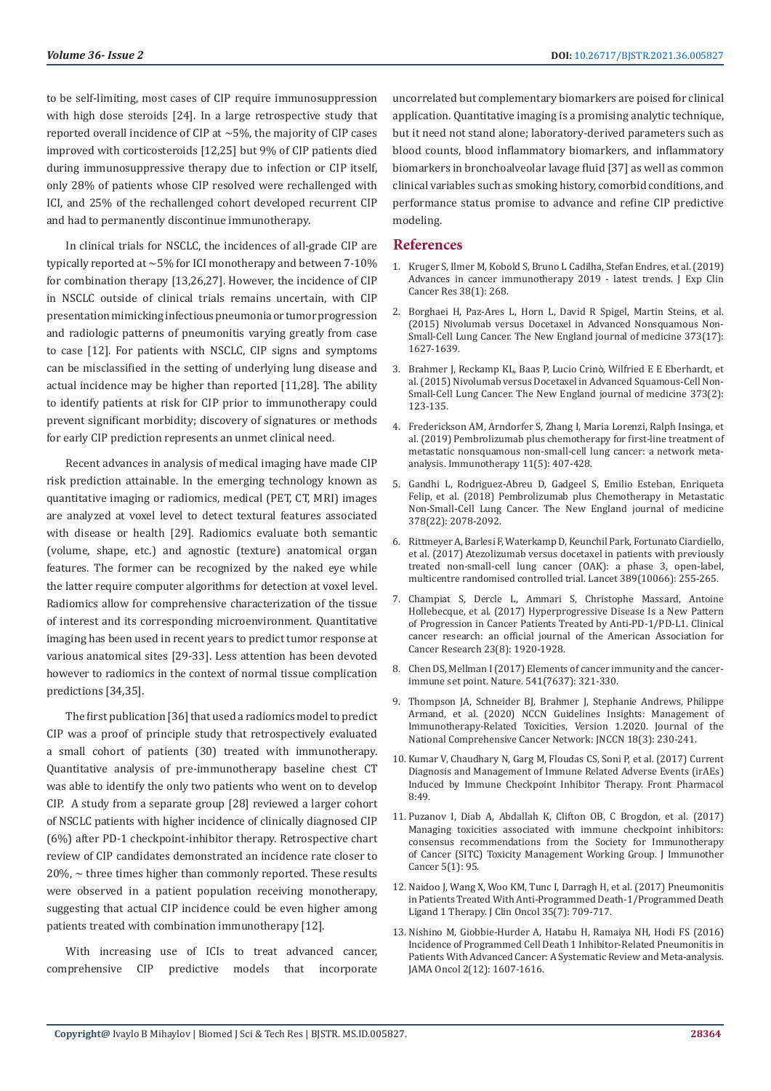to be self-limiting, most cases of CIP require immunosuppression with high dose steroids [24]. In a large retrospective study that reported overall incidence of CIP at ~5%, the majority of CIP cases improved with corticosteroids [12,25] but 9% of CIP patients died during immunosuppressive therapy due to infection or CIP itself, only 28% of patients whose CIP resolved were rechallenged with ICI, and 25% of the rechallenged cohort developed recurrent CIP and had to permanently discontinue immunotherapy.

In clinical trials for NSCLC, the incidences of all-grade CIP are typically reported at ~5% for ICI monotherapy and between 7-10% for combination therapy [13,26,27]. However, the incidence of CIP in NSCLC outside of clinical trials remains uncertain, with CIP presentation mimicking infectious pneumonia or tumor progression and radiologic patterns of pneumonitis varying greatly from case to case [12]. For patients with NSCLC, CIP signs and symptoms can be misclassified in the setting of underlying lung disease and actual incidence may be higher than reported [11,28]. The ability to identify patients at risk for CIP prior to immunotherapy could prevent significant morbidity; discovery of signatures or methods for early CIP prediction represents an unmet clinical need.

Recent advances in analysis of medical imaging have made CIP risk prediction attainable. In the emerging technology known as quantitative imaging or radiomics, medical (PET, CT, MRI) images are analyzed at voxel level to detect textural features associated with disease or health [29]. Radiomics evaluate both semantic (volume, shape, etc.) and agnostic (texture) anatomical organ features. The former can be recognized by the naked eye while the latter require computer algorithms for detection at voxel level. Radiomics allow for comprehensive characterization of the tissue of interest and its corresponding microenvironment. Quantitative imaging has been used in recent years to predict tumor response at various anatomical sites [29-33]. Less attention has been devoted however to radiomics in the context of normal tissue complication predictions [34,35].

The first publication [36] that used a radiomics model to predict CIP was a proof of principle study that retrospectively evaluated a small cohort of patients (30) treated with immunotherapy. Quantitative analysis of pre-immunotherapy baseline chest CT was able to identify the only two patients who went on to develop CIP. A study from a separate group [28] reviewed a larger cohort of NSCLC patients with higher incidence of clinically diagnosed CIP (6%) after PD-1 checkpoint-inhibitor therapy. Retrospective chart review of CIP candidates demonstrated an incidence rate closer to  $20\% \sim$  three times higher than commonly reported. These results were observed in a patient population receiving monotherapy, suggesting that actual CIP incidence could be even higher among patients treated with combination immunotherapy [12].

With increasing use of ICIs to treat advanced cancer, comprehensive CIP predictive models that incorporate uncorrelated but complementary biomarkers are poised for clinical application. Quantitative imaging is a promising analytic technique, but it need not stand alone; laboratory-derived parameters such as blood counts, blood inflammatory biomarkers, and inflammatory biomarkers in bronchoalveolar lavage fluid [37] as well as common clinical variables such as smoking history, comorbid conditions, and performance status promise to advance and refine CIP predictive modeling.

### **References**

- 1. [Kruger S, Ilmer M, Kobold S, Bruno L Cadilha, Stefan Endres, et al. \(2019\)](https://jeccr.biomedcentral.com/articles/10.1186/s13046-019-1266-0) [Advances in cancer immunotherapy 2019 - latest trends. J Exp Clin](https://jeccr.biomedcentral.com/articles/10.1186/s13046-019-1266-0) [Cancer Res 38\(1\): 268.](https://jeccr.biomedcentral.com/articles/10.1186/s13046-019-1266-0)
- 2. [Borghaei H, Paz-Ares L, Horn L, David R Spigel, Martin Steins, et al.](https://pubmed.ncbi.nlm.nih.gov/26412456/) [\(2015\) Nivolumab versus Docetaxel in Advanced Nonsquamous Non-](https://pubmed.ncbi.nlm.nih.gov/26412456/)[Small-Cell Lung Cancer. The New England journal of medicine 373\(17\):](https://pubmed.ncbi.nlm.nih.gov/26412456/) [1627-1639.](https://pubmed.ncbi.nlm.nih.gov/26412456/)
- 3. [Brahmer J, Reckamp KL, Baas P, Lucio Crin](https://pubmed.ncbi.nlm.nih.gov/26028407/)ò, Wilfried E E Eberhardt, et [al. \(2015\) Nivolumab versus Docetaxel in Advanced Squamous-Cell Non-](https://pubmed.ncbi.nlm.nih.gov/26028407/)[Small-Cell Lung Cancer. The New England journal of medicine 373\(2\):](https://pubmed.ncbi.nlm.nih.gov/26028407/) [123-135.](https://pubmed.ncbi.nlm.nih.gov/26028407/)
- 4. [Frederickson AM, Arndorfer S, Zhang I, Maria Lorenzi, Ralph Insinga, et](https://pubmed.ncbi.nlm.nih.gov/30712477/) [al. \(2019\) Pembrolizumab plus chemotherapy for first-line treatment of](https://pubmed.ncbi.nlm.nih.gov/30712477/) [metastatic nonsquamous non-small-cell lung cancer: a network meta](https://pubmed.ncbi.nlm.nih.gov/30712477/)[analysis. Immunotherapy 11\(5\): 407-428.](https://pubmed.ncbi.nlm.nih.gov/30712477/)
- 5. [Gandhi L, Rodriguez-Abreu D, Gadgeel S, Emilio Esteban, Enriqueta](https://pubmed.ncbi.nlm.nih.gov/29658856/) [Felip, et al. \(2018\) Pembrolizumab plus Chemotherapy in Metastatic](https://pubmed.ncbi.nlm.nih.gov/29658856/) [Non-Small-Cell Lung Cancer. The New England journal of medicine](https://pubmed.ncbi.nlm.nih.gov/29658856/) [378\(22\): 2078-2092.](https://pubmed.ncbi.nlm.nih.gov/29658856/)
- 6. [Rittmeyer A, Barlesi F, Waterkamp D, Keunchil Park, Fortunato Ciardiello,](https://pubmed.ncbi.nlm.nih.gov/27979383/) [et al. \(2017\) Atezolizumab versus docetaxel in patients with previously](https://pubmed.ncbi.nlm.nih.gov/27979383/) [treated non-small-cell lung cancer \(OAK\): a phase 3, open-label,](https://pubmed.ncbi.nlm.nih.gov/27979383/) [multicentre randomised controlled trial. Lancet 389\(10066\): 255-265.](https://pubmed.ncbi.nlm.nih.gov/27979383/)
- 7. [Champiat S, Dercle L, Ammari S, Christophe Massard, Antoine](https://pubmed.ncbi.nlm.nih.gov/27827313/) [Hollebecque, et al. \(2017\) Hyperprogressive Disease Is a New Pattern](https://pubmed.ncbi.nlm.nih.gov/27827313/) [of Progression in Cancer Patients Treated by Anti-PD-1/PD-L1. Clinical](https://pubmed.ncbi.nlm.nih.gov/27827313/) [cancer research: an official journal of the American Association for](https://pubmed.ncbi.nlm.nih.gov/27827313/) [Cancer Research 23\(8\): 1920-1928.](https://pubmed.ncbi.nlm.nih.gov/27827313/)
- 8. [Chen DS, Mellman I \(2017\) Elements of cancer immunity and the cancer](https://www.nature.com/articles/nature21349)[immune set point. Nature. 541\(7637\): 321-330.](https://www.nature.com/articles/nature21349)
- 9. [Thompson JA, Schneider BJ, Brahmer J, Stephanie Andrews, Philippe](https://pubmed.ncbi.nlm.nih.gov/32135517/) [Armand, et al. \(2020\) NCCN Guidelines Insights: Management of](https://pubmed.ncbi.nlm.nih.gov/32135517/) [Immunotherapy-Related Toxicities, Version 1.2020. Journal of the](https://pubmed.ncbi.nlm.nih.gov/32135517/) [National Comprehensive Cancer Network: JNCCN 18\(3\): 230-241.](https://pubmed.ncbi.nlm.nih.gov/32135517/)
- 10. [Kumar V, Chaudhary N, Garg M, Floudas CS, Soni P, et al. \(2017\) Current](https://pubmed.ncbi.nlm.nih.gov/28228726/) [Diagnosis and Management of Immune Related Adverse Events \(irAEs\)](https://pubmed.ncbi.nlm.nih.gov/28228726/) [Induced by Immune Checkpoint Inhibitor Therapy. Front Pharmacol](https://pubmed.ncbi.nlm.nih.gov/28228726/) [8:49.](https://pubmed.ncbi.nlm.nih.gov/28228726/)
- 11. [Puzanov I, Diab A, Abdallah K, Clifton OB, C Brogdon, et al. \(2017\)](https://www.researchgate.net/publication/321196146_Managing_toxicities_associated_with_immune_checkpoint_inhibitors_Consensus_recommendations_from_the_Society_for_Immunotherapy_of_Cancer_SITC_Toxicity_Management_Working_Group) [Managing toxicities associated with immune checkpoint inhibitors:](https://www.researchgate.net/publication/321196146_Managing_toxicities_associated_with_immune_checkpoint_inhibitors_Consensus_recommendations_from_the_Society_for_Immunotherapy_of_Cancer_SITC_Toxicity_Management_Working_Group) [consensus recommendations from the Society for Immunotherapy](https://www.researchgate.net/publication/321196146_Managing_toxicities_associated_with_immune_checkpoint_inhibitors_Consensus_recommendations_from_the_Society_for_Immunotherapy_of_Cancer_SITC_Toxicity_Management_Working_Group) [of Cancer \(SITC\) Toxicity Management Working Group. J Immunother](https://www.researchgate.net/publication/321196146_Managing_toxicities_associated_with_immune_checkpoint_inhibitors_Consensus_recommendations_from_the_Society_for_Immunotherapy_of_Cancer_SITC_Toxicity_Management_Working_Group) [Cancer 5\(1\): 95.](https://www.researchgate.net/publication/321196146_Managing_toxicities_associated_with_immune_checkpoint_inhibitors_Consensus_recommendations_from_the_Society_for_Immunotherapy_of_Cancer_SITC_Toxicity_Management_Working_Group)
- 12. [Naidoo J, Wang X, Woo KM, Tunc I, Darragh H, et al. \(2017\) Pneumonitis](https://ascopubs.org/doi/10.1200/JCO.2016.68.2005) [in Patients Treated With Anti-Programmed Death-1/Programmed Death](https://ascopubs.org/doi/10.1200/JCO.2016.68.2005) [Ligand 1 Therapy. J Clin Oncol 35\(7\): 709-717.](https://ascopubs.org/doi/10.1200/JCO.2016.68.2005)
- 13. [Nishino M, Giobbie-Hurder A, Hatabu H, Ramaiya NH, Hodi FS \(2016\)](https://jamanetwork.com/journals/jamaoncology/fullarticle/2544610) [Incidence of Programmed Cell Death 1 Inhibitor-Related Pneumonitis in](https://jamanetwork.com/journals/jamaoncology/fullarticle/2544610) [Patients With Advanced Cancer: A Systematic Review and Meta-analysis.](https://jamanetwork.com/journals/jamaoncology/fullarticle/2544610) [JAMA Oncol 2\(12\): 1607-1616.](https://jamanetwork.com/journals/jamaoncology/fullarticle/2544610)